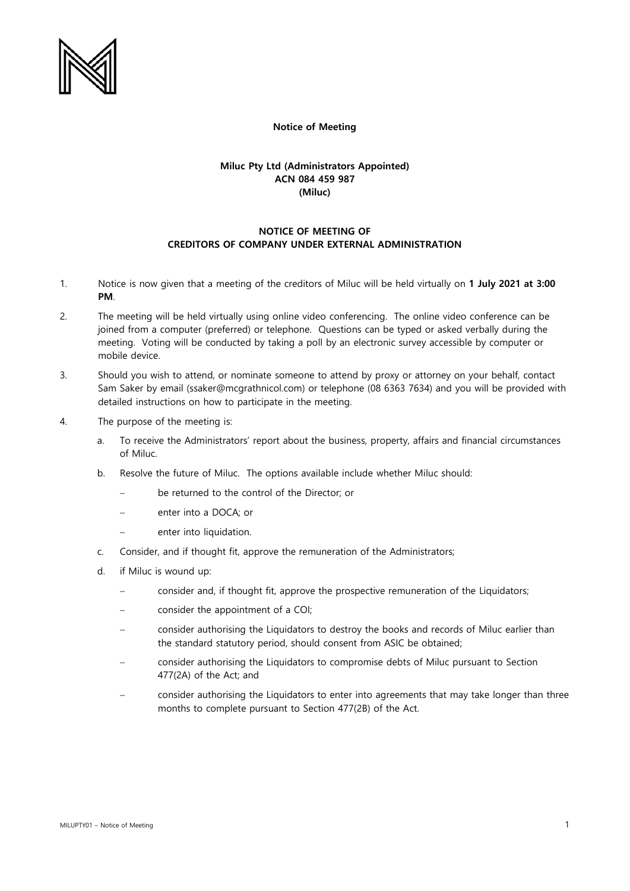

## **Notice of Meeting**

## **Miluc Pty Ltd (Administrators Appointed) ACN 084 459 987 (Miluc)**

## **NOTICE OF MEETING OF CREDITORS OF COMPANY UNDER EXTERNAL ADMINISTRATION**

- 1. Notice is now given that a meeting of the creditors of Miluc will be held virtually on **1 July 2021 at 3:00 PM**.
- 2. The meeting will be held virtually using online video conferencing. The online video conference can be joined from a computer (preferred) or telephone. Questions can be typed or asked verbally during the meeting. Voting will be conducted by taking a poll by an electronic survey accessible by computer or mobile device.
- 3. Should you wish to attend, or nominate someone to attend by proxy or attorney on your behalf, contact Sam Saker by email (ssaker@mcgrathnicol.com) or telephone (08 6363 7634) and you will be provided with detailed instructions on how to participate in the meeting.
- 4. The purpose of the meeting is:
	- a. To receive the Administrators' report about the business, property, affairs and financial circumstances of Miluc.
	- b. Resolve the future of Miluc. The options available include whether Miluc should:
		- be returned to the control of the Director; or
		- enter into a DOCA; or
		- − enter into liquidation.
	- c. Consider, and if thought fit, approve the remuneration of the Administrators;
	- d. if Miluc is wound up:
		- consider and, if thought fit, approve the prospective remuneration of the Liquidators;
		- consider the appointment of a COI;
		- consider authorising the Liquidators to destroy the books and records of Miluc earlier than the standard statutory period, should consent from ASIC be obtained;
		- consider authorising the Liquidators to compromise debts of Miluc pursuant to Section 477(2A) of the Act; and
		- consider authorising the Liquidators to enter into agreements that may take longer than three months to complete pursuant to Section 477(2B) of the Act.